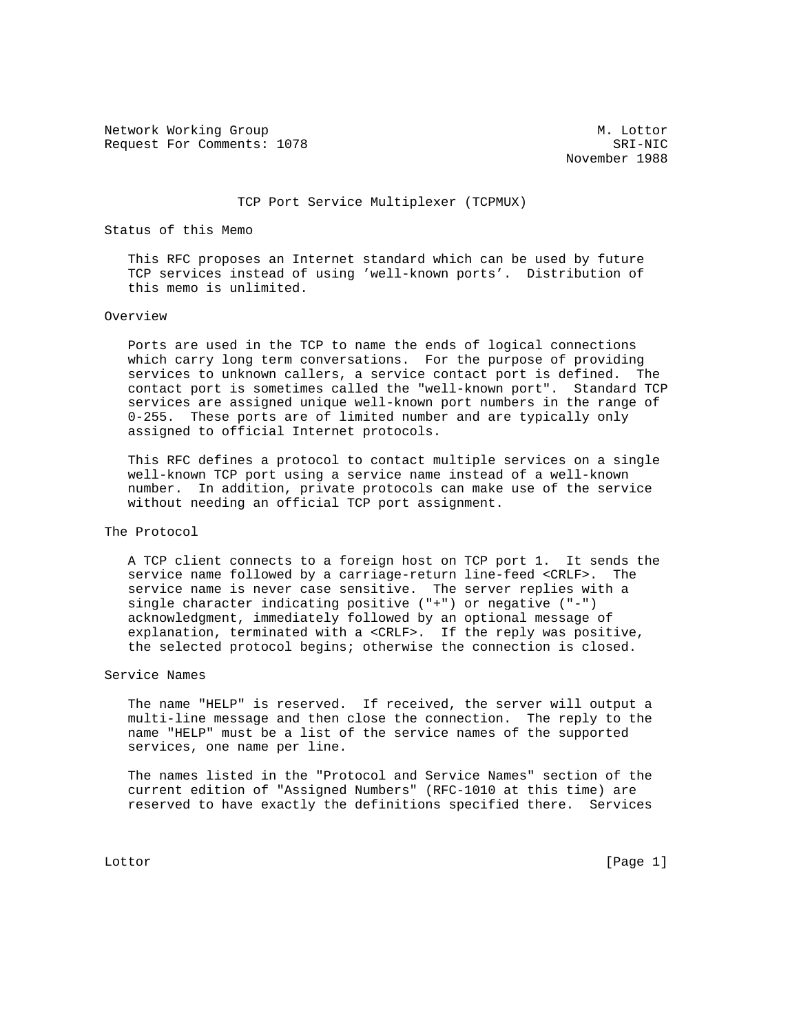Network Working Group Methods and Muslim Muslim Muslim Muslim Muslim Muslim Muslim Muslim Muslim Muslim Muslim Mu Request For Comments: 1078 SRI-NIC

November 1988

#### TCP Port Service Multiplexer (TCPMUX)

### Status of this Memo

 This RFC proposes an Internet standard which can be used by future TCP services instead of using 'well-known ports'. Distribution of this memo is unlimited.

#### Overview

 Ports are used in the TCP to name the ends of logical connections which carry long term conversations. For the purpose of providing services to unknown callers, a service contact port is defined. The contact port is sometimes called the "well-known port". Standard TCP services are assigned unique well-known port numbers in the range of 0-255. These ports are of limited number and are typically only assigned to official Internet protocols.

 This RFC defines a protocol to contact multiple services on a single well-known TCP port using a service name instead of a well-known number. In addition, private protocols can make use of the service without needing an official TCP port assignment.

# The Protocol

 A TCP client connects to a foreign host on TCP port 1. It sends the service name followed by a carriage-return line-feed <CRLF>. The service name is never case sensitive. The server replies with a single character indicating positive ("+") or negative ("-") acknowledgment, immediately followed by an optional message of explanation, terminated with a <CRLF>. If the reply was positive, the selected protocol begins; otherwise the connection is closed.

## Service Names

 The name "HELP" is reserved. If received, the server will output a multi-line message and then close the connection. The reply to the name "HELP" must be a list of the service names of the supported services, one name per line.

 The names listed in the "Protocol and Service Names" section of the current edition of "Assigned Numbers" (RFC-1010 at this time) are reserved to have exactly the definitions specified there. Services

Lottor [Page 1]